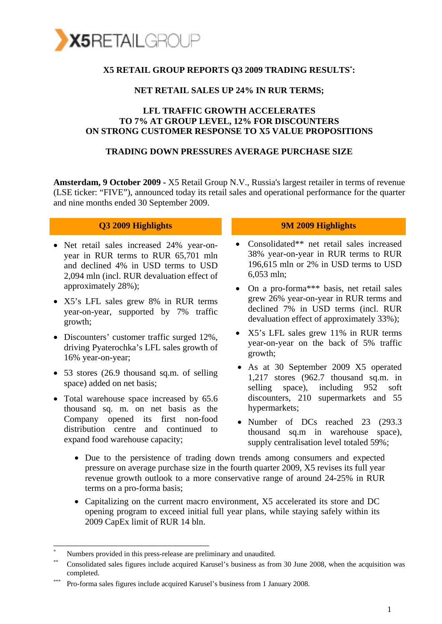

## **X5 RETAIL GROUP REPORTS Q3 2009 TRADING RESULTS\* :**

#### **NET RETAIL SALES UP 24% IN RUR TERMS;**

### **LFL TRAFFIC GROWTH ACCELERATES TO 7% AT GROUP LEVEL, 12% FOR DISCOUNTERS ON STRONG CUSTOMER RESPONSE TO X5 VALUE PROPOSITIONS**

#### **TRADING DOWN PRESSURES AVERAGE PURCHASE SIZE**

**Amsterdam, 9 October 2009 -** X5 Retail Group N.V., Russia's largest retailer in terms of revenue (LSE ticker: "FIVE"), announced today its retail sales and operational performance for the quarter and nine months ended 30 September 2009.

- Net retail sales increased 24% year-onyear in RUR terms to RUR 65,701 mln and declined 4% in USD terms to USD 2,094 mln (incl. RUR devaluation effect of approximately 28%);
- X5's LFL sales grew 8% in RUR terms year-on-year, supported by 7% traffic growth;
- Discounters' customer traffic surged 12%. driving Pyaterochka's LFL sales growth of 16% year-on-year;
- 53 stores (26.9 thousand sq.m. of selling space) added on net basis;
- Total warehouse space increased by 65.6 thousand sq. m. on net basis as the Company opened its first non-food distribution centre and continued to expand food warehouse capacity;

\_\_\_\_\_\_\_\_\_\_\_\_\_\_\_\_\_\_\_\_\_\_\_\_\_\_\_\_\_\_\_\_\_\_\_

#### **Q3 2009 Highlights 9M 2009 Highlights**

- Consolidated\*\* net retail sales increased 38% year-on-year in RUR terms to RUR 196,615 mln or 2% in USD terms to USD 6,053 mln;
- On a pro-forma\*\*\* basis, net retail sales grew 26% year-on-year in RUR terms and declined 7% in USD terms (incl. RUR devaluation effect of approximately 33%);
- X5's LFL sales grew 11% in RUR terms year-on-year on the back of 5% traffic growth;
- As at 30 September 2009 X5 operated 1,217 stores (962.7 thousand sq.m. in selling space), including 952 soft discounters, 210 supermarkets and 55 hypermarkets;
- Number of DCs reached 23 (293.3) thousand sq.m in warehouse space), supply centralisation level totaled 59%;
- Due to the persistence of trading down trends among consumers and expected pressure on average purchase size in the fourth quarter 2009, X5 revises its full year revenue growth outlook to a more conservative range of around 24-25% in RUR terms on a pro-forma basis;
- Capitalizing on the current macro environment, X5 accelerated its store and DC opening program to exceed initial full year plans, while staying safely within its 2009 CapEx limit of RUR 14 bln.

<sup>%</sup> Numbers provided in this press-release are preliminary and unaudited.<br>Consolidated sales figures include acquired Karusel's business as from 30 June 2008, when the acquisition was completed. \*\*\* Pro-forma sales figures include acquired Karusel's business from 1 January 2008.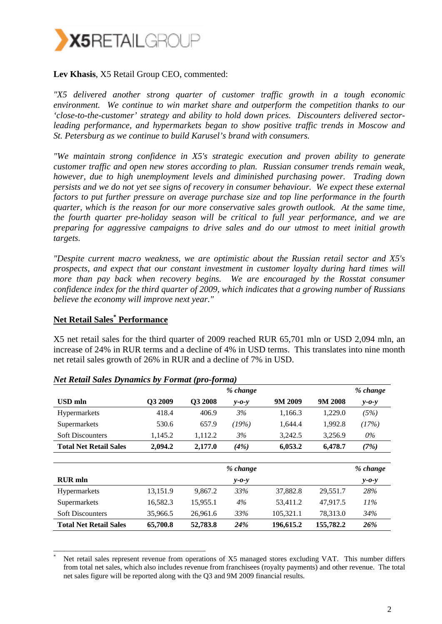

### **Lev Khasis**, X5 Retail Group CEO, commented:

*"X5 delivered another strong quarter of customer traffic growth in a tough economic environment. We continue to win market share and outperform the competition thanks to our 'close-to-the-customer' strategy and ability to hold down prices. Discounters delivered sectorleading performance, and hypermarkets began to show positive traffic trends in Moscow and St. Petersburg as we continue to build Karusel's brand with consumers.* 

*"We maintain strong confidence in X5's strategic execution and proven ability to generate customer traffic and open new stores according to plan. Russian consumer trends remain weak, however, due to high unemployment levels and diminished purchasing power. Trading down persists and we do not yet see signs of recovery in consumer behaviour. We expect these external factors to put further pressure on average purchase size and top line performance in the fourth quarter, which is the reason for our more conservative sales growth outlook. At the same time, the fourth quarter pre-holiday season will be critical to full year performance, and we are preparing for aggressive campaigns to drive sales and do our utmost to meet initial growth targets.* 

*"Despite current macro weakness, we are optimistic about the Russian retail sector and X5's prospects, and expect that our constant investment in customer loyalty during hard times will more than pay back when recovery begins. We are encouraged by the Rosstat consumer confidence index for the third quarter of 2009, which indicates that a growing number of Russians believe the economy will improve next year."* 

## **Net Retail Sales\* Performance**

X5 net retail sales for the third quarter of 2009 reached RUR 65,701 mln or USD 2,094 mln, an increase of 24% in RUR terms and a decline of 4% in USD terms. This translates into nine month net retail sales growth of 26% in RUR and a decline of 7% in USD.

|                               |          |                | % change    |           |          | % change    |
|-------------------------------|----------|----------------|-------------|-----------|----------|-------------|
| USD mln                       | O3 2009  | <b>O3 2008</b> | $v$ -0- $v$ | 9M 2009   | 9M 2008  | $y - 0 - y$ |
| <b>Hypermarkets</b>           | 418.4    | 406.9          | 3%          | 1,166.3   | 1,229.0  | (5%)        |
| Supermarkets                  | 530.6    | 657.9          | (19%)       | 1,644.4   | 1,992.8  | (17%)       |
| <b>Soft Discounters</b>       | 1,145.2  | 1,112.2        | 3%          | 3,242.5   | 3,256.9  | 0%          |
| <b>Total Net Retail Sales</b> | 2,094.2  | 2,177.0        | (4%)        | 6,053.2   | 6,478.7  | (7%)        |
|                               |          |                |             |           |          |             |
|                               |          |                | % change    |           |          | % change    |
| <b>RUR</b> mln                |          |                | $v$ -0- $v$ |           |          | $y - 0 - y$ |
| <b>Hypermarkets</b>           | 13,151.9 | 9.867.2        | 33%         | 37,882.8  | 29,551.7 | 28%         |
| Supermarkets                  | 16,582.3 | 15,955.1       | 4%          | 53,411.2  | 47,917.5 | $11\%$      |
| <b>Soft Discounters</b>       | 35,966.5 | 26,961.6       | 33%         | 105,321.1 | 78.313.0 | 34%         |
|                               |          |                |             |           |          |             |

#### *Net Retail Sales Dynamics by Format (pro-forma)*

\_\_\_\_\_\_\_\_\_\_\_\_\_\_\_\_\_\_\_\_\_\_\_\_\_\_\_\_\_\_\_\_\_\_\_\_\_\_\_\_\_

<sup>\*</sup> Net retail sales represent revenue from operations of X5 managed stores excluding VAT. This number differs from total net sales, which also includes revenue from franchisees (royalty payments) and other revenue. The total net sales figure will be reported along with the Q3 and 9M 2009 financial results.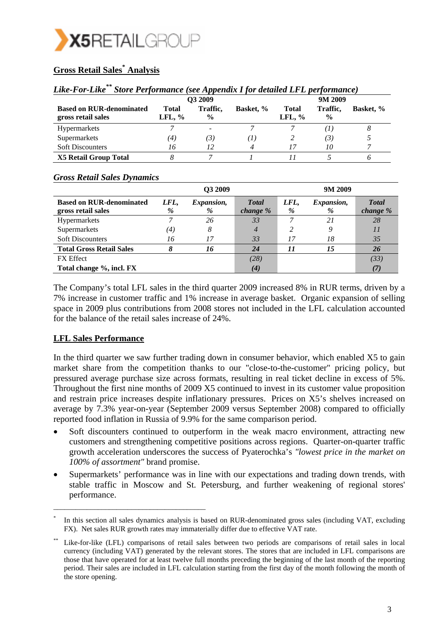

# **Gross Retail Sales\* Analysis**

| Like-For-Like <sup>**</sup> Store Performance (see Appendix I for detailed LFL performance) |  |  |
|---------------------------------------------------------------------------------------------|--|--|
|                                                                                             |  |  |

|                                                       |                    | Q3 2009                   |              |                           | 9M 2009                   |           |
|-------------------------------------------------------|--------------------|---------------------------|--------------|---------------------------|---------------------------|-----------|
| <b>Based on RUR-denominated</b><br>gross retail sales | Total<br>LFL, $\%$ | Traffic,<br>$\frac{0}{0}$ | Basket, %    | <b>Total</b><br>LFL, $\%$ | Traffic,<br>$\frac{0}{0}$ | Basket, % |
| <b>Hypermarkets</b>                                   |                    | $\overline{\phantom{a}}$  |              |                           | $\mathbf{I}$              |           |
| Supermarkets                                          | (4)                | (3.                       | $\mathbf{I}$ |                           | 3)                        |           |
| <b>Soft Discounters</b>                               | 16                 | 12                        | 4            |                           | 10                        |           |
| <b>X5 Retail Group Total</b>                          |                    |                           |              |                           |                           |           |

|                                                       |                   | Q3 2009         |                          |           | 9M 2009                |                           |
|-------------------------------------------------------|-------------------|-----------------|--------------------------|-----------|------------------------|---------------------------|
| <b>Based on RUR-denominated</b><br>gross retail sales | LFL,<br>%         | Expansion,<br>% | <b>Total</b><br>change % | LFL,<br>% | <i>Expansion,</i><br>% | <b>T</b> otal<br>change % |
| Hypermarkets                                          |                   | 26              | 33                       |           | 21                     | 28                        |
| Supermarkets                                          | $\left( 4\right)$ | 8               | 4                        |           | 9                      | 11                        |
| <b>Soft Discounters</b>                               | 16                | 17              | 33                       | 17        | 18                     | 35                        |
| <b>Total Gross Retail Sales</b>                       |                   | 16              | 24                       | 11        | 15                     | 26                        |
| <b>FX</b> Effect                                      |                   |                 | (28)                     |           |                        | (33)                      |
| Total change %, incl. FX                              |                   |                 | (4)                      |           |                        | (7)                       |

#### *Gross Retail Sales Dynamics*

The Company's total LFL sales in the third quarter 2009 increased 8% in RUR terms, driven by a 7% increase in customer traffic and 1% increase in average basket. Organic expansion of selling space in 2009 plus contributions from 2008 stores not included in the LFL calculation accounted for the balance of the retail sales increase of 24%.

## **LFL Sales Performance**

\_\_\_\_\_\_\_\_\_\_\_\_\_\_\_\_\_\_\_\_\_\_\_\_\_\_\_\_\_\_\_\_\_\_\_\_\_\_\_\_\_

In the third quarter we saw further trading down in consumer behavior, which enabled X5 to gain market share from the competition thanks to our "close-to-the-customer" pricing policy, but pressured average purchase size across formats, resulting in real ticket decline in excess of 5%. Throughout the first nine months of 2009 X5 continued to invest in its customer value proposition and restrain price increases despite inflationary pressures. Prices on X5's shelves increased on average by 7.3% year-on-year (September 2009 versus September 2008) compared to officially reported food inflation in Russia of 9.9% for the same comparison period.

- Soft discounters continued to outperform in the weak macro environment, attracting new customers and strengthening competitive positions across regions. Quarter-on-quarter traffic growth acceleration underscores the success of Pyaterochka's *"lowest price in the market on 100% of assortment"* brand promise.
- Supermarkets' performance was in line with our expectations and trading down trends, with stable traffic in Moscow and St. Petersburg, and further weakening of regional stores' performance.

In this section all sales dynamics analysis is based on RUR-denominated gross sales (including VAT, excluding FX). Net sales RUR growth rates may immaterially differ due to effective VAT rate.

Like-for-like (LFL) comparisons of retail sales between two periods are comparisons of retail sales in local currency (including VAT) generated by the relevant stores. The stores that are included in LFL comparisons are those that have operated for at least twelve full months preceding the beginning of the last month of the reporting period. Their sales are included in LFL calculation starting from the first day of the month following the month of the store opening.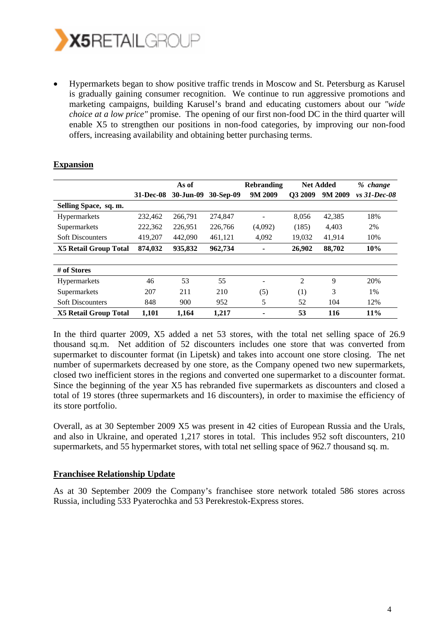

• Hypermarkets began to show positive traffic trends in Moscow and St. Petersburg as Karusel is gradually gaining consumer recognition. We continue to run aggressive promotions and marketing campaigns, building Karusel's brand and educating customers about our *"wide choice at a low price"* promise. The opening of our first non-food DC in the third quarter will enable X5 to strengthen our positions in non-food categories, by improving our non-food offers, increasing availability and obtaining better purchasing terms.

|                              |                  | As of     |           |         | <b>Net Added</b><br><b>Rebranding</b> |         |                |  |
|------------------------------|------------------|-----------|-----------|---------|---------------------------------------|---------|----------------|--|
|                              | <b>31-Dec-08</b> | 30-Jun-09 | 30-Sep-09 | 9M 2009 | Q3 2009                               | 9M 2009 | $vs$ 31-Dec-08 |  |
| Selling Space, sq. m.        |                  |           |           |         |                                       |         |                |  |
| Hypermarkets                 | 232,462          | 266.791   | 274,847   |         | 8,056                                 | 42,385  | 18%            |  |
| Supermarkets                 | 222,362          | 226,951   | 226,766   | (4,092) | (185)                                 | 4,403   | 2%             |  |
| <b>Soft Discounters</b>      | 419,207          | 442,090   | 461,121   | 4,092   | 19.032                                | 41,914  | 10%            |  |
| <b>X5 Retail Group Total</b> | 874.032          | 935,832   | 962,734   | -       | 26,902                                | 88,702  | 10%            |  |
|                              |                  |           |           |         |                                       |         |                |  |
| # of Stores                  |                  |           |           |         |                                       |         |                |  |
| Hypermarkets                 | 46               | 53        | 55        | -       | 2                                     | 9       | 20%            |  |
| Supermarkets                 | 207              | 211       | 210       | (5)     | (1)                                   | 3       | 1%             |  |
| <b>Soft Discounters</b>      | 848              | 900       | 952       | 5       | 52                                    | 104     | 12%            |  |
| <b>X5 Retail Group Total</b> | 1,101            | 1.164     | 1.217     |         | 53                                    | 116     | 11%            |  |

## **Expansion**

In the third quarter 2009, X5 added a net 53 stores, with the total net selling space of 26.9 thousand sq.m. Net addition of 52 discounters includes one store that was converted from supermarket to discounter format (in Lipetsk) and takes into account one store closing. The net number of supermarkets decreased by one store, as the Company opened two new supermarkets, closed two inefficient stores in the regions and converted one supermarket to a discounter format. Since the beginning of the year X5 has rebranded five supermarkets as discounters and closed a total of 19 stores (three supermarkets and 16 discounters), in order to maximise the efficiency of its store portfolio.

Overall, as at 30 September 2009 X5 was present in 42 cities of European Russia and the Urals, and also in Ukraine, and operated 1,217 stores in total. This includes 952 soft discounters, 210 supermarkets, and 55 hypermarket stores, with total net selling space of 962.7 thousand sq. m.

## **Franchisee Relationship Update**

As at 30 September 2009 the Company's franchisee store network totaled 586 stores across Russia, including 533 Pyaterochka and 53 Perekrestok-Express stores.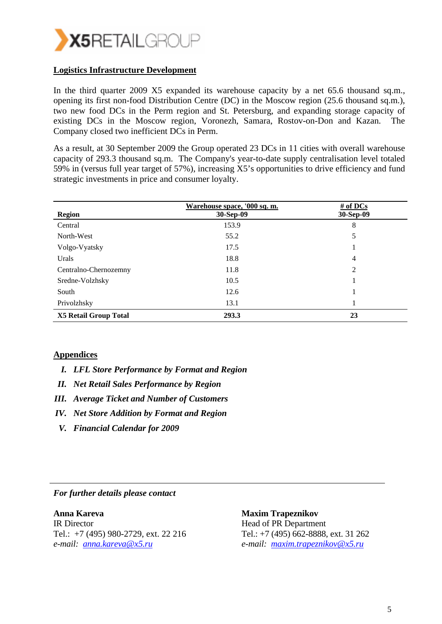

#### **Logistics Infrastructure Development**

In the third quarter 2009 X5 expanded its warehouse capacity by a net 65.6 thousand sq.m., opening its first non-food Distribution Centre (DC) in the Moscow region (25.6 thousand sq.m.), two new food DCs in the Perm region and St. Petersburg, and expanding storage capacity of existing DCs in the Moscow region, Voronezh, Samara, Rostov-on-Don and Kazan. The Company closed two inefficient DCs in Perm.

As a result, at 30 September 2009 the Group operated 23 DCs in 11 cities with overall warehouse capacity of 293.3 thousand sq.m. The Company's year-to-date supply centralisation level totaled 59% in (versus full year target of 57%), increasing X5's opportunities to drive efficiency and fund strategic investments in price and consumer loyalty.

| <b>Region</b>                | Warehouse space, '000 sq. m.<br>30-Sep-09 | $#$ of DCs<br>30-Sep-09 |
|------------------------------|-------------------------------------------|-------------------------|
| Central                      | 153.9                                     | 8                       |
| North-West                   | 55.2                                      | 5                       |
| Volgo-Vyatsky                | 17.5                                      |                         |
| Urals                        | 18.8                                      | 4                       |
| Centralno-Chernozemny        | 11.8                                      | 2                       |
| Sredne-Volzhsky              | 10.5                                      |                         |
| South                        | 12.6                                      | п                       |
| Privolzhsky                  | 13.1                                      |                         |
| <b>X5 Retail Group Total</b> | 293.3                                     | 23                      |

#### **Appendices**

- *I. LFL Store Performance by Format and Region*
- *II. Net Retail Sales Performance by Region*
- *III. Average Ticket and Number of Customers*
- *IV. Net Store Addition by Format and Region*
- *V. Financial Calendar for 2009*

#### *For further details please contact*

**Anna Kareva**  IR Director Tel.: +7 (495) 980-2729, ext. 22 216 *e-mail: anna.kareva@x5.ru*

 **Maxim Trapeznikov**  Head of PR Department Tel.: +7 (495) 662-8888, ext. 31 262 *e-mail: maxim.trapeznikov@x5.ru*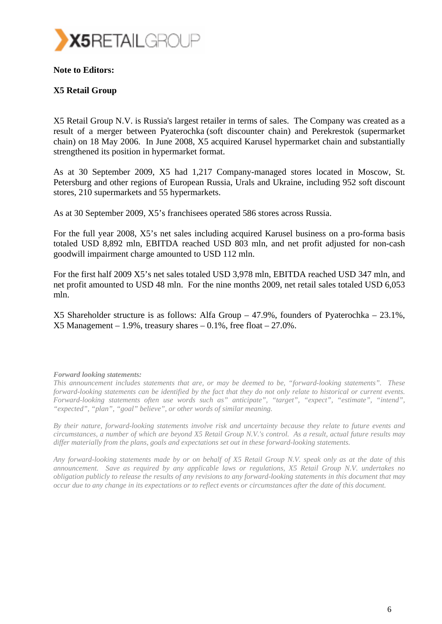

#### **Note to Editors:**

## **X5 Retail Group**

X5 Retail Group N.V. is Russia's largest retailer in terms of sales. The Company was created as a result of a merger between Pyaterochka (soft discounter chain) and Perekrestok (supermarket chain) on 18 May 2006. In June 2008, X5 acquired Karusel hypermarket chain and substantially strengthened its position in hypermarket format.

As at 30 September 2009, X5 had 1,217 Company-managed stores located in Moscow, St. Petersburg and other regions of European Russia, Urals and Ukraine, including 952 soft discount stores, 210 supermarkets and 55 hypermarkets.

As at 30 September 2009, X5's franchisees operated 586 stores across Russia.

For the full year 2008, X5's net sales including acquired Karusel business on a pro-forma basis totaled USD 8,892 mln, EBITDA reached USD 803 mln, and net profit adjusted for non-cash goodwill impairment charge amounted to USD 112 mln.

For the first half 2009 X5's net sales totaled USD 3,978 mln, EBITDA reached USD 347 mln, and net profit amounted to USD 48 mln. For the nine months 2009, net retail sales totaled USD 6,053 mln.

X5 Shareholder structure is as follows: Alfa Group – 47.9%, founders of Pyaterochka – 23.1%,  $X5$  Management – 1.9%, treasury shares – 0.1%, free float – 27.0%.

#### *Forward looking statements:*

*This announcement includes statements that are, or may be deemed to be, "forward-looking statements". These forward-looking statements can be identified by the fact that they do not only relate to historical or current events. Forward-looking statements often use words such as" anticipate", "target", "expect", "estimate", "intend", "expected", "plan", "goal" believe", or other words of similar meaning.* 

*By their nature, forward-looking statements involve risk and uncertainty because they relate to future events and circumstances, a number of which are beyond X5 Retail Group N.V.'s control. As a result, actual future results may differ materially from the plans, goals and expectations set out in these forward-looking statements.* 

*Any forward-looking statements made by or on behalf of X5 Retail Group N.V. speak only as at the date of this announcement. Save as required by any applicable laws or regulations, X5 Retail Group N.V. undertakes no obligation publicly to release the results of any revisions to any forward-looking statements in this document that may occur due to any change in its expectations or to reflect events or circumstances after the date of this document.*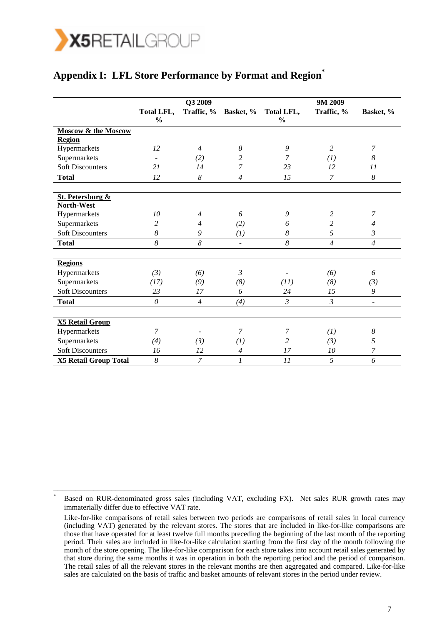

\_\_\_\_\_\_\_\_\_\_\_\_\_\_\_\_\_\_\_\_\_\_\_\_\_\_\_\_\_\_\_

# **Appendix I: LFL Store Performance by Format and Region\***

|                                |                             | Q3 2009        |                |                             | 9M 2009        |                |
|--------------------------------|-----------------------------|----------------|----------------|-----------------------------|----------------|----------------|
|                                | Total LFL,<br>$\frac{0}{0}$ | Traffic, %     | Basket, %      | Total LFL,<br>$\frac{0}{0}$ | Traffic, %     | Basket, %      |
| <b>Moscow &amp; the Moscow</b> |                             |                |                |                             |                |                |
| <b>Region</b>                  |                             |                |                |                             |                |                |
| Hypermarkets                   | 12                          | $\overline{4}$ | 8              | 9                           | $\overline{2}$ | 7              |
| Supermarkets                   |                             | (2)            | $\overline{c}$ | 7                           | (I)            | 8              |
| <b>Soft Discounters</b>        | 21                          | 14             | $\overline{7}$ | 23                          | 12             | 11             |
| <b>Total</b>                   | 12                          | 8              | $\overline{4}$ | 15                          | $\mathcal{I}$  | 8              |
| <b>St. Petersburg &amp;</b>    |                             |                |                |                             |                |                |
| North-West                     |                             |                |                |                             |                |                |
| Hypermarkets                   | 10                          | $\overline{4}$ | 6              | 9                           | 2              | 7              |
| Supermarkets                   | $\overline{c}$              | $\overline{4}$ | (2)            | 6                           | 2              | $\overline{4}$ |
| <b>Soft Discounters</b>        | 8                           | 9              | (1)            | 8                           | 5              | 3              |
| <b>Total</b>                   | 8                           | 8              | $\blacksquare$ | $\boldsymbol{8}$            | $\overline{4}$ | $\overline{4}$ |
| <b>Regions</b>                 |                             |                |                |                             |                |                |
| Hypermarkets                   | (3)                         | (6)            | 3              |                             | (6)            | 6              |
| Supermarkets                   | (17)                        | (9)            | (8)            | (11)                        | (8)            | (3)            |
| <b>Soft Discounters</b>        | 23                          | 17             | 6              | 24                          | 15             | 9              |
| <b>Total</b>                   | $\theta$                    | $\overline{4}$ | (4)            | $\mathfrak{Z}$              | $\mathfrak{Z}$ | $\blacksquare$ |
| <b>X5 Retail Group</b>         |                             |                |                |                             |                |                |
| Hypermarkets                   | 7                           |                | 7              | 7                           | (I)            | 8              |
| Supermarkets                   | (4)                         | (3)            | (I)            | 2                           | (3)            | 5              |
| <b>Soft Discounters</b>        | 16                          | 12             | $\overline{4}$ | 17                          | 10             | $\overline{7}$ |
| <b>X5 Retail Group Total</b>   | 8                           | $\overline{7}$ | 1              | 11                          | 5              | 6              |

<sup>\*</sup> Based on RUR-denominated gross sales (including VAT, excluding FX). Net sales RUR growth rates may immaterially differ due to effective VAT rate.

Like-for-like comparisons of retail sales between two periods are comparisons of retail sales in local currency (including VAT) generated by the relevant stores. The stores that are included in like-for-like comparisons are those that have operated for at least twelve full months preceding the beginning of the last month of the reporting period. Their sales are included in like-for-like calculation starting from the first day of the month following the month of the store opening. The like-for-like comparison for each store takes into account retail sales generated by that store during the same months it was in operation in both the reporting period and the period of comparison. The retail sales of all the relevant stores in the relevant months are then aggregated and compared. Like-for-like sales are calculated on the basis of traffic and basket amounts of relevant stores in the period under review.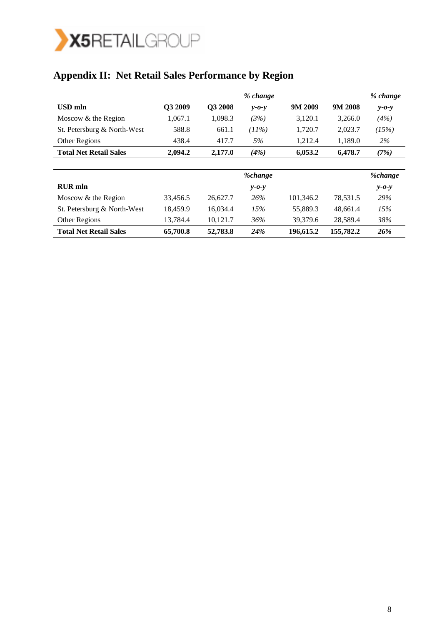

# **Appendix II: Net Retail Sales Performance by Region**

|                               |         |                     | % change    |         |         | % change    |
|-------------------------------|---------|---------------------|-------------|---------|---------|-------------|
| USD mln                       | Q3 2009 | O <sub>3</sub> 2008 | $v$ -0- $v$ | 9M 2009 | 9M 2008 | $y - 0 - y$ |
| Moscow & the Region           | 1,067.1 | 1.098.3             | (3%)        | 3,120.1 | 3,266.0 | (4%)        |
| St. Petersburg & North-West   | 588.8   | 661.1               | $11\%)$     | 1.720.7 | 2,023.7 | (15%)       |
| Other Regions                 | 438.4   | 417.7               | 5%          | 1.212.4 | 1.189.0 | 2%          |
| <b>Total Net Retail Sales</b> | 2.094.2 | 2,177.0             | (4%)        | 6.053.2 | 6.478.7 | (7%)        |

|                               |          |          | <i>%change</i> |           |           | <i>%change</i> |
|-------------------------------|----------|----------|----------------|-----------|-----------|----------------|
| <b>RUR</b> mln                |          |          | $v$ -0- $v$    |           |           | $y - 0 - y$    |
| Moscow & the Region           | 33,456.5 | 26,627.7 | 26%            | 101,346.2 | 78,531.5  | 29%            |
| St. Petersburg & North-West   | 18,459.9 | 16.034.4 | 15%            | 55.889.3  | 48,661.4  | 15%            |
| Other Regions                 | 13,784.4 | 10.121.7 | 36%            | 39.379.6  | 28,589.4  | 38%            |
| <b>Total Net Retail Sales</b> | 65,700.8 | 52,783.8 | 24%            | 196,615.2 | 155,782.2 | 26%            |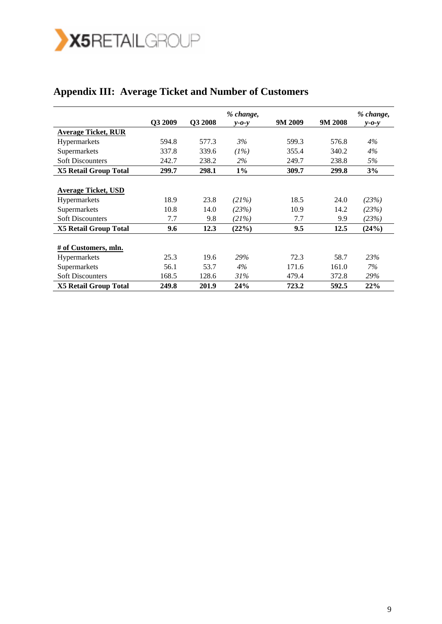

|                              |         |         | % change,   |         |         | % change,   |
|------------------------------|---------|---------|-------------|---------|---------|-------------|
|                              | Q3 2009 | Q3 2008 | $v$ -0- $v$ | 9M 2009 | 9M 2008 | $y - 0 - y$ |
| <b>Average Ticket, RUR</b>   |         |         |             |         |         |             |
| <b>Hypermarkets</b>          | 594.8   | 577.3   | 3%          | 599.3   | 576.8   | 4%          |
| Supermarkets                 | 337.8   | 339.6   | (1%)        | 355.4   | 340.2   | $4\%$       |
| <b>Soft Discounters</b>      | 242.7   | 238.2   | 2%          | 249.7   | 238.8   | 5%          |
| <b>X5 Retail Group Total</b> | 299.7   | 298.1   | $1\%$       | 309.7   | 299.8   | 3%          |
|                              |         |         |             |         |         |             |
| <b>Average Ticket, USD</b>   |         |         |             |         |         |             |
| <b>Hypermarkets</b>          | 18.9    | 23.8    | (21%)       | 18.5    | 24.0    | (23%)       |
| Supermarkets                 | 10.8    | 14.0    | (23%)       | 10.9    | 14.2    | (23%)       |
| <b>Soft Discounters</b>      | 7.7     | 9.8     | (21%)       | 7.7     | 9.9     | (23%)       |
| <b>X5 Retail Group Total</b> | 9.6     | 12.3    | (22%)       | 9.5     | 12.5    | (24%)       |
|                              |         |         |             |         |         |             |
| # of Customers, mln.         |         |         |             |         |         |             |
| Hypermarkets                 | 25.3    | 19.6    | 29%         | 72.3    | 58.7    | 23%         |
| Supermarkets                 | 56.1    | 53.7    | 4%          | 171.6   | 161.0   | 7%          |
| <b>Soft Discounters</b>      | 168.5   | 128.6   | 31%         | 479.4   | 372.8   | 29%         |
| <b>X5 Retail Group Total</b> | 249.8   | 201.9   | 24%         | 723.2   | 592.5   | 22%         |

# **Appendix III: Average Ticket and Number of Customers**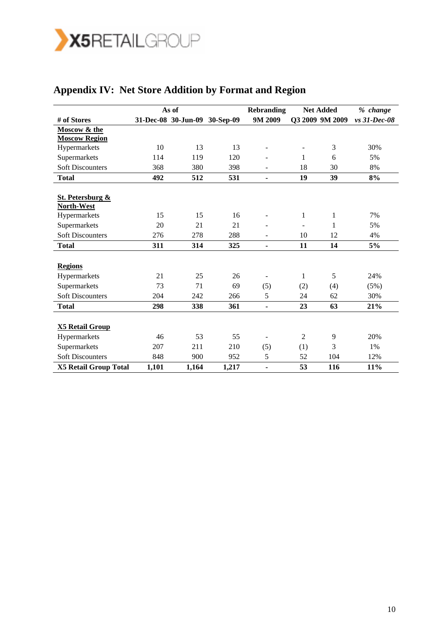

|                                           |       | As of                         |       | <b>Rebranding</b> |     | <b>Net Added</b> | % change     |
|-------------------------------------------|-------|-------------------------------|-------|-------------------|-----|------------------|--------------|
| # of Stores                               |       | 31-Dec-08 30-Jun-09 30-Sep-09 |       | 9M 2009           |     | Q3 2009 9M 2009  | vs 31-Dec-08 |
| Moscow & the                              |       |                               |       |                   |     |                  |              |
| <b>Moscow Region</b>                      |       |                               |       |                   |     |                  |              |
| Hypermarkets                              | 10    | 13                            | 13    |                   |     | 3                | 30%          |
| Supermarkets                              | 114   | 119                           | 120   |                   | 1   | 6                | 5%           |
| <b>Soft Discounters</b>                   | 368   | 380                           | 398   |                   | 18  | 30               | 8%           |
| <b>Total</b>                              | 492   | 512                           | 531   | ۰                 | 19  | 39               | 8%           |
| <b>St. Petersburg &amp;</b><br>North-West |       |                               |       |                   |     |                  |              |
| Hypermarkets                              | 15    | 15                            | 16    |                   | 1   | 1                | 7%           |
| Supermarkets                              | 20    | 21                            | 21    |                   |     | 1                | 5%           |
| <b>Soft Discounters</b>                   | 276   | 278                           | 288   |                   | 10  | 12               | 4%           |
| <b>Total</b>                              | 311   | 314                           | 325   | ۰                 | 11  | 14               | 5%           |
| <b>Regions</b>                            |       |                               |       |                   |     |                  |              |
| Hypermarkets                              | 21    | 25                            | 26    |                   | 1   | 5                | 24%          |
| Supermarkets                              | 73    | 71                            | 69    | (5)               | (2) | (4)              | (5%)         |
| <b>Soft Discounters</b>                   | 204   | 242                           | 266   | 5                 | 24  | 62               | 30%          |
| <b>Total</b>                              | 298   | 338                           | 361   | ÷,                | 23  | 63               | 21%          |
| <b>X5 Retail Group</b>                    |       |                               |       |                   |     |                  |              |
| Hypermarkets                              | 46    | 53                            | 55    |                   | 2   | 9                | 20%          |
| Supermarkets                              | 207   | 211                           | 210   | (5)               | (1) | 3                | 1%           |
| <b>Soft Discounters</b>                   | 848   | 900                           | 952   | 5                 | 52  | 104              | 12%          |
| <b>X5 Retail Group Total</b>              | 1,101 | 1,164                         | 1,217 | ۰                 | 53  | 116              | 11%          |

# **Appendix IV: Net Store Addition by Format and Region**